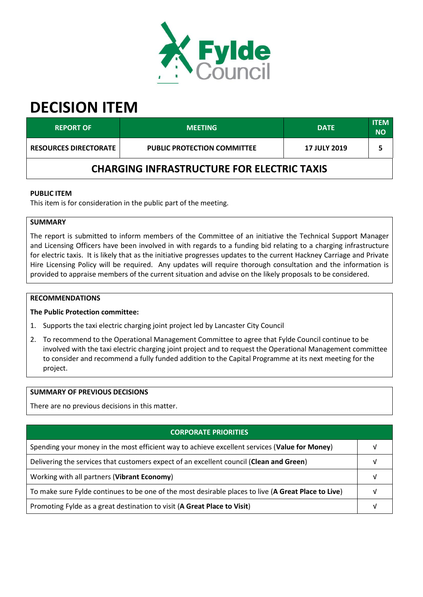

# **DECISION ITEM**

| <b>REPORT OF</b>                                  | <b>MEETING</b>                     | <b>DATE</b>         | <b>ITEM</b><br><b>NO</b> |  |  |
|---------------------------------------------------|------------------------------------|---------------------|--------------------------|--|--|
| <b>RESOURCES DIRECTORATE</b>                      | <b>PUBLIC PROTECTION COMMITTEE</b> | <b>17 JULY 2019</b> |                          |  |  |
| <b>CHARGING INFRASTRUCTURE FOR ELECTRIC TAXIS</b> |                                    |                     |                          |  |  |

### **PUBLIC ITEM**

This item is for consideration in the public part of the meeting.

# **SUMMARY**

The report is submitted to inform members of the Committee of an initiative the Technical Support Manager and Licensing Officers have been involved in with regards to a funding bid relating to a charging infrastructure for electric taxis. It is likely that as the initiative progresses updates to the current Hackney Carriage and Private Hire Licensing Policy will be required. Any updates will require thorough consultation and the information is provided to appraise members of the current situation and advise on the likely proposals to be considered.

#### **RECOMMENDATIONS**

#### **The Public Protection committee:**

- 1. Supports the taxi electric charging joint project led by Lancaster City Council
- 2. To recommend to the Operational Management Committee to agree that Fylde Council continue to be involved with the taxi electric charging joint project and to request the Operational Management committee to consider and recommend a fully funded addition to the Capital Programme at its next meeting for the project.

#### **SUMMARY OF PREVIOUS DECISIONS**

There are no previous decisions in this matter.

| <b>CORPORATE PRIORITIES</b>                                                                         |  |  |
|-----------------------------------------------------------------------------------------------------|--|--|
| Spending your money in the most efficient way to achieve excellent services (Value for Money)       |  |  |
| Delivering the services that customers expect of an excellent council (Clean and Green)             |  |  |
| Working with all partners (Vibrant Economy)                                                         |  |  |
| To make sure Fylde continues to be one of the most desirable places to live (A Great Place to Live) |  |  |
| Promoting Fylde as a great destination to visit (A Great Place to Visit)                            |  |  |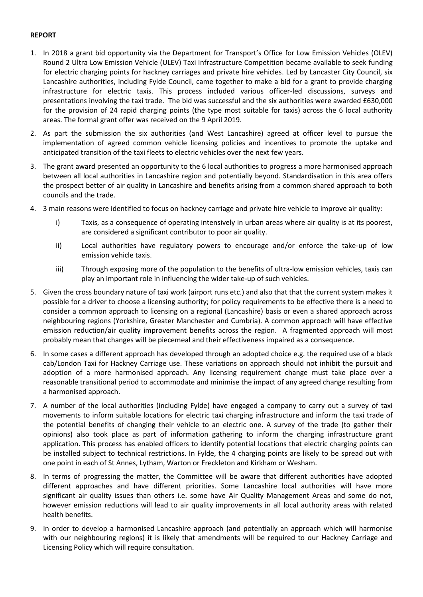## **REPORT**

- 1. In 2018 a grant bid opportunity via the Department for Transport's Office for Low Emission Vehicles (OLEV) Round 2 Ultra Low Emission Vehicle (ULEV) Taxi Infrastructure Competition became available to seek funding for electric charging points for hackney carriages and private hire vehicles. Led by Lancaster City Council, six Lancashire authorities, including Fylde Council, came together to make a bid for a grant to provide charging infrastructure for electric taxis. This process included various officer-led discussions, surveys and presentations involving the taxi trade. The bid was successful and the six authorities were awarded £630,000 for the provision of 24 rapid charging points (the type most suitable for taxis) across the 6 local authority areas. The formal grant offer was received on the 9 April 2019.
- 2. As part the submission the six authorities (and West Lancashire) agreed at officer level to pursue the implementation of agreed common vehicle licensing policies and incentives to promote the uptake and anticipated transition of the taxi fleets to electric vehicles over the next few years.
- 3. The grant award presented an opportunity to the 6 local authorities to progress a more harmonised approach between all local authorities in Lancashire region and potentially beyond. Standardisation in this area offers the prospect better of air quality in Lancashire and benefits arising from a common shared approach to both councils and the trade.
- 4. 3 main reasons were identified to focus on hackney carriage and private hire vehicle to improve air quality:
	- i) Taxis, as a consequence of operating intensively in urban areas where air quality is at its poorest, are considered a significant contributor to poor air quality.
	- ii) Local authorities have regulatory powers to encourage and/or enforce the take-up of low emission vehicle taxis.
	- iii) Through exposing more of the population to the benefits of ultra-low emission vehicles, taxis can play an important role in influencing the wider take-up of such vehicles.
- 5. Given the cross boundary nature of taxi work (airport runs etc.) and also that that the current system makes it possible for a driver to choose a licensing authority; for policy requirements to be effective there is a need to consider a common approach to licensing on a regional (Lancashire) basis or even a shared approach across neighbouring regions (Yorkshire, Greater Manchester and Cumbria). A common approach will have effective emission reduction/air quality improvement benefits across the region. A fragmented approach will most probably mean that changes will be piecemeal and their effectiveness impaired as a consequence.
- 6. In some cases a different approach has developed through an adopted choice e.g. the required use of a black cab/London Taxi for Hackney Carriage use. These variations on approach should not inhibit the pursuit and adoption of a more harmonised approach. Any licensing requirement change must take place over a reasonable transitional period to accommodate and minimise the impact of any agreed change resulting from a harmonised approach.
- 7. A number of the local authorities (including Fylde) have engaged a company to carry out a survey of taxi movements to inform suitable locations for electric taxi charging infrastructure and inform the taxi trade of the potential benefits of changing their vehicle to an electric one. A survey of the trade (to gather their opinions) also took place as part of information gathering to inform the charging infrastructure grant application. This process has enabled officers to identify potential locations that electric charging points can be installed subject to technical restrictions. In Fylde, the 4 charging points are likely to be spread out with one point in each of St Annes, Lytham, Warton or Freckleton and Kirkham or Wesham.
- 8. In terms of progressing the matter, the Committee will be aware that different authorities have adopted different approaches and have different priorities. Some Lancashire local authorities will have more significant air quality issues than others i.e. some have Air Quality Management Areas and some do not, however emission reductions will lead to air quality improvements in all local authority areas with related health benefits.
- 9. In order to develop a harmonised Lancashire approach (and potentially an approach which will harmonise with our neighbouring regions) it is likely that amendments will be required to our Hackney Carriage and Licensing Policy which will require consultation.